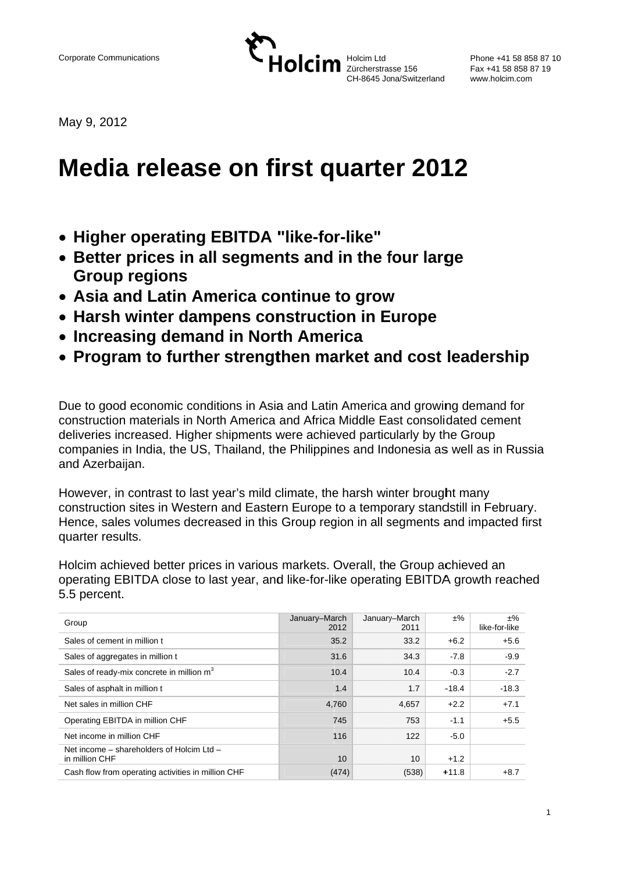Holcim Ltd Zürcherstrasse 156 CH-8645 Jona/Switzerland

Phone +41 58 858 87 10 Fax +41 58 858 87 19 www.holcim.com

May 9, 2012

# **Media release on first quarter 2012**

- Higher operating EBITDA "like-for-like"
- Better prices in all segments and in the four large **Group regions**
- Asia and Latin America continue to grow
- Harsh winter dampens construction in Europe
- Increasing demand in North America
- Program to further strengthen market and cost leadership

Due to good economic conditions in Asia and Latin America and growing demand for construction materials in North America and Africa Middle East consolidated cement deliveries increased. Higher shipments were achieved particularly by the Group companies in India, the US. Thailand, the Philippines and Indonesia as well as in Russia and Azerbaijan.

However, in contrast to last vear's mild climate, the harsh winter brought many construction sites in Western and Eastern Europe to a temporary standstill in February. Hence, sales volumes decreased in this Group region in all segments and impacted first quarter results.

Holcim achieved better prices in various markets. Overall, the Group achieved an operating EBITDA close to last year, and like-for-like operating EBITDA growth reached 5.5 percent.

| Group                                                       | January-March<br>2012 | January-March<br>2011 | $±\%$   | $±\%$<br>like-for-like |
|-------------------------------------------------------------|-----------------------|-----------------------|---------|------------------------|
| Sales of cement in million t                                | 35.2                  | 33.2                  | $+6.2$  | $+5.6$                 |
| Sales of aggregates in million t                            | 31.6                  | 34.3                  | $-7.8$  | $-9.9$                 |
| Sales of ready-mix concrete in million m <sup>3</sup>       | 10.4                  | 10.4                  | $-0.3$  | $-2.7$                 |
| Sales of asphalt in million t                               | 1.4                   | 1.7                   | $-18.4$ | $-18.3$                |
| Net sales in million CHF                                    | 4,760                 | 4,657                 | $+2.2$  | $+7.1$                 |
| Operating EBITDA in million CHF                             | 745                   | 753                   | $-1.1$  | $+5.5$                 |
| Net income in million CHF                                   | 116                   | 122                   | $-5.0$  |                        |
| Net income - shareholders of Holcim Ltd -<br>in million CHF | 10                    | 10                    | $+1.2$  |                        |
| Cash flow from operating activities in million CHF          | (474)                 | (538)                 | $+11.8$ | $+8.7$                 |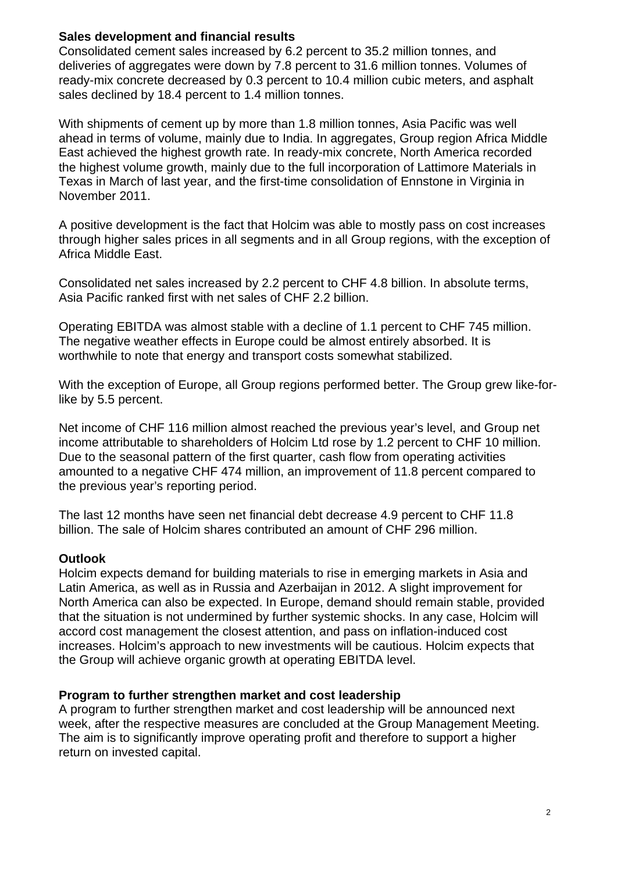#### **Sales development and financial results**

Consolidated cement sales increased by 6.2 percent to 35.2 million tonnes, and deliveries of aggregates were down by 7.8 percent to 31.6 million tonnes. Volumes of ready-mix concrete decreased by 0.3 percent to 10.4 million cubic meters, and asphalt sales declined by 18.4 percent to 1.4 million tonnes.

With shipments of cement up by more than 1.8 million tonnes, Asia Pacific was well ahead in terms of volume, mainly due to India. In aggregates, Group region Africa Middle East achieved the highest growth rate. In ready-mix concrete, North America recorded the highest volume growth, mainly due to the full incorporation of Lattimore Materials in Texas in March of last year, and the first-time consolidation of Ennstone in Virginia in November 2011.

A positive development is the fact that Holcim was able to mostly pass on cost increases through higher sales prices in all segments and in all Group regions, with the exception of Africa Middle East.

Consolidated net sales increased by 2.2 percent to CHF 4.8 billion. In absolute terms, Asia Pacific ranked first with net sales of CHF 2.2 billion.

Operating EBITDA was almost stable with a decline of 1.1 percent to CHF 745 million. The negative weather effects in Europe could be almost entirely absorbed. It is worthwhile to note that energy and transport costs somewhat stabilized.

With the exception of Europe, all Group regions performed better. The Group grew like-forlike by 5.5 percent.

Net income of CHF 116 million almost reached the previous year's level, and Group net income attributable to shareholders of Holcim Ltd rose by 1.2 percent to CHF 10 million. Due to the seasonal pattern of the first quarter, cash flow from operating activities amounted to a negative CHF 474 million, an improvement of 11.8 percent compared to the previous year's reporting period.

The last 12 months have seen net financial debt decrease 4.9 percent to CHF 11.8 billion. The sale of Holcim shares contributed an amount of CHF 296 million.

## **Outlook**

Holcim expects demand for building materials to rise in emerging markets in Asia and Latin America, as well as in Russia and Azerbaijan in 2012. A slight improvement for North America can also be expected. In Europe, demand should remain stable, provided that the situation is not undermined by further systemic shocks. In any case, Holcim will accord cost management the closest attention, and pass on inflation-induced cost increases. Holcim's approach to new investments will be cautious. Holcim expects that the Group will achieve organic growth at operating EBITDA level.

#### **Program to further strengthen market and cost leadership**

A program to further strengthen market and cost leadership will be announced next week, after the respective measures are concluded at the Group Management Meeting. The aim is to significantly improve operating profit and therefore to support a higher return on invested capital.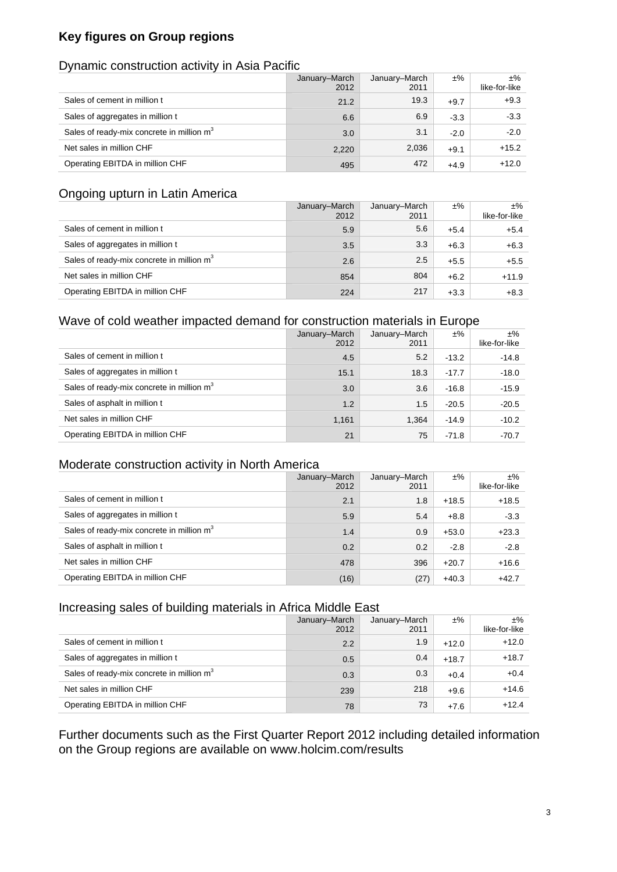# **Key figures on Group regions**

#### Dynamic construction activity in Asia Pacific

|                                                       | January-March<br>2012 | January-March<br>2011 | $±\%$  | ±%<br>like-for-like |
|-------------------------------------------------------|-----------------------|-----------------------|--------|---------------------|
| Sales of cement in million t                          | 21.2                  | 19.3                  | $+9.7$ | $+9.3$              |
| Sales of aggregates in million t                      | 6.6                   | 6.9                   | $-3.3$ | $-3.3$              |
| Sales of ready-mix concrete in million m <sup>3</sup> | 3.0                   | 3.1                   | $-2.0$ | $-2.0$              |
| Net sales in million CHF                              | 2,220                 | 2,036                 | $+9.1$ | $+15.2$             |
| Operating EBITDA in million CHF                       | 495                   | 472                   | $+4.9$ | $+12.0$             |

### Ongoing upturn in Latin America

|                                                       | January-March<br>2012 | January-March<br>2011 | $±\%$  | ±%<br>like-for-like |
|-------------------------------------------------------|-----------------------|-----------------------|--------|---------------------|
| Sales of cement in million t                          | 5.9                   | 5.6                   | $+5.4$ | $+5.4$              |
| Sales of aggregates in million t                      | 3.5                   | 3.3                   | $+6.3$ | $+6.3$              |
| Sales of ready-mix concrete in million m <sup>3</sup> | 2.6                   | 2.5                   | $+5.5$ | $+5.5$              |
| Net sales in million CHF                              | 854                   | 804                   | $+6.2$ | $+11.9$             |
| Operating EBITDA in million CHF                       | 224                   | 217                   | $+3.3$ | $+8.3$              |

#### Wave of cold weather impacted demand for construction materials in Europe

|                                                       | January-March<br>2012 | January-March<br>2011 | $±\%$   | ±%<br>like-for-like |
|-------------------------------------------------------|-----------------------|-----------------------|---------|---------------------|
| Sales of cement in million t                          | 4.5                   | 5.2                   | $-13.2$ | $-14.8$             |
| Sales of aggregates in million t                      | 15.1                  | 18.3                  | $-17.7$ | $-18.0$             |
| Sales of ready-mix concrete in million m <sup>3</sup> | 3.0                   | 3.6                   | $-16.8$ | $-15.9$             |
| Sales of asphalt in million t                         | 1.2                   | 1.5                   | $-20.5$ | $-20.5$             |
| Net sales in million CHF                              | 1,161                 | 1,364                 | $-14.9$ | $-10.2$             |
| Operating EBITDA in million CHF                       | 21                    | 75                    | $-71.8$ | $-70.7$             |

#### Moderate construction activity in North America

|                                                       | January-March<br>2012 | January-March<br>2011 | ±%      | $±\%$<br>like-for-like |
|-------------------------------------------------------|-----------------------|-----------------------|---------|------------------------|
| Sales of cement in million t                          | 2.1                   | 1.8                   | $+18.5$ | $+18.5$                |
| Sales of aggregates in million t                      | 5.9                   | 5.4                   | $+8.8$  | $-3.3$                 |
| Sales of ready-mix concrete in million m <sup>3</sup> | 1.4                   | 0.9                   | $+53.0$ | $+23.3$                |
| Sales of asphalt in million t                         | 0.2                   | 0.2                   | $-2.8$  | $-2.8$                 |
| Net sales in million CHF                              | 478                   | 396                   | $+20.7$ | $+16.6$                |
| Operating EBITDA in million CHF                       | (16)                  | (27)                  | $+40.3$ | $+42.7$                |

#### Increasing sales of building materials in Africa Middle East

|                                                       | January-March<br>2012 | January-March<br>2011 | $±\%$   | ±%<br>like-for-like |
|-------------------------------------------------------|-----------------------|-----------------------|---------|---------------------|
| Sales of cement in million t                          | 2.2                   | 1.9                   | $+12.0$ | $+12.0$             |
| Sales of aggregates in million t                      | 0.5                   | 0.4                   | $+18.7$ | $+18.7$             |
| Sales of ready-mix concrete in million m <sup>3</sup> | 0.3                   | 0.3                   | $+0.4$  | $+0.4$              |
| Net sales in million CHF                              | 239                   | 218                   | $+9.6$  | $+14.6$             |
| Operating EBITDA in million CHF                       | 78                    | 73                    | $+7.6$  | $+12.4$             |

Further documents such as the First Quarter Report 2012 including detailed information on the Group regions are available on www.holcim.com/results